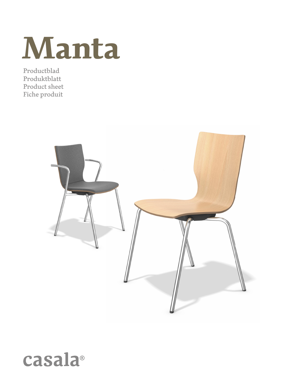

Productblad Produktblatt Product sheet Fiche produit



# casala®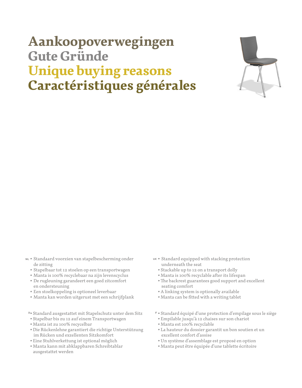# **Aankoopoverwegingen Gute Gründe Unique buying reasons Caractéristiques générales**



- Standaard voorzien van stapelbescherming onder de zitting
	- Stapelbaar tot 12 stoelen op een transportwagen
	- Manta is 100% recyclebaar na zijn levenscyclus
	- De rugleuning garandeert een goed zitcomfort en ondersteuning
	- Een stoelkoppeling is optioneel leverbaar
	- Manta kan worden uitgerust met een schrijfplank
	- Standard ausgestattet mit Stapelschutz unter dem Sitz
	- Stapelbar bis zu 12 auf einem Transportwagen
	- Manta ist zu 100% recycelbar
	- Die Rückenlehne garantiert die richtige Unterstützung im Rücken und exzellenten Sitzkomfort
	- Eine Stuhlverkettung ist optional möglich
	- Manta kann mit abklappbaren Schreibtablar ausgestattet werden
- Standard equipped with stacking protection underneath the seat
	- Stackable up to 12 on a transport dolly
	- Manta is 100% recyclable after its lifespan
	- The backrest guarantees good support and excellent seating comfort
	- A linking system is optionally available
	- Manta can be fitted with a writing tablet
- Standard équipé d'une protection d'empilage sous le siège
- Empilable jusqu'à 12 chaises sur son chariot
- Manta est 100% recyclable
- La hauteur du dossier garantit un bon soutien et un excellent confort d'assise
- Un système d'assemblage est proposé en option
- Manta peut être équipée d'une tablette écritoire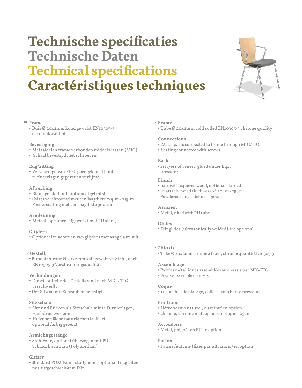# **Technische specificaties Technische Daten Technical specifications Caractéristiques techniques**



### **Frame**

• Buis Ø 20x2mm koud gewalst EN10305-3 chroomkwaliteit

# **Bevestiging**

- Metaaldelen frame verbonden middels lassen (MIG)
- Schaal bevestigd met schroeven

# **Rug/zitting**

• Vervaardigd van PEFC goedgekeurd hout, 11 fineerlagen geperst en verlijmd

# **Afwerking**

- Blank gelakt hout, optioneel gebeitst
- (Mat) verchroomd met een laagdikte 20µm 25µm Poedercoating met een laagdikte 300µm

# **Armleuning**

• Metaal, optioneel afgewerkt met PU slang

# **Glijders**

• Optioneel te voorzien van glijders met aangelaste vilt

# **Gestell:**

• Rundstahlrohr Ø 20x2mm kalt gewalzter Stahl, nach EN10305-3 Verchromungsqualität

# **Verbindungen**

- Die Metallteile des Gestells sind nach MIG / TIG verschweißt
- Der Sitz ist mit Schrauben befestigt

# **Sitzschale**

- Sitz und Rücken als Sitzschale mit 11 Furnierlagen, Hochdruckverleimt
- Holzoberfläche naturfarben lackiert, optional farbig gebeizt

# **Armlehngestänge**

• Stahlrohr, optional überzogen mit PU-Schlauch schwarz (Polyurethan)

# **Gleiter:**

• Standard POM-Kunststoffgleiter, optional Filzgleiter mit aufgeschweißtem Filz

### **Frame**

• Tube Ø 20x2mm cold rolled EN10305-3 chrome quality

# **Connections**

- Metal parts connected to frame through MIG/TIG.
- Seating connected with screws

# **Back**

• 11 layers of veneer, glued under high pressure

### **Finish**

- natural lacquered wood, optional stained
- (matt) chromed thickness of 20µm 25µm Powdercoating thickness 300µm

# **Armrest**

• Metal, fiited with PU tube

# **Glides**

• Felt glides (ultrasonically welded) are optional

# **Châssis**

• Tube Ø 20x2mm laminé à froid, chrome qualité EN10305-3

### **Assemblage**

- Parties métalliques assemblées au châssis par MIG/TIG
- Assise assemblée par vis

### **Coque**

• 11 couches de placage, collées sous haute pression

# **Finitions**

- Hêtre vernis naturel, ou teinté en option
- chromé, chromé mat, épaisseur 20µm 25µm

# **Accoudoirs**

• Métal, poignée en PU en option

# **Patins**

• Patins feutrine (fixés par ultrasons) en option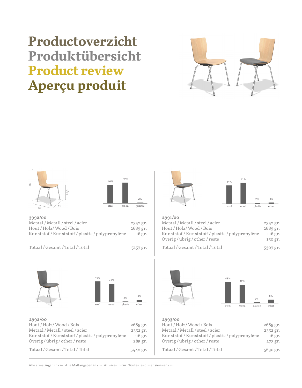# **Productoverzicht Produktübersicht Product review Aperçu produit**







Totaal / Gesamt / Total / Total 5442 gr.



| 2991/00                                    |          |
|--------------------------------------------|----------|
| Metaal/Metall/steel/acier                  | 2352 gr. |
| Hout / Holz/Wood / Bois                    | 2689 gr. |
| Kunststof/Kunststoff/plastic/polypropylène | 116 gr.  |
| Overig/übrig/other/reste                   | 150 gr.  |
| Totaal / Gesamt / Total / Total            | 5307 gr. |





|       |      | 2%      | 8%    |
|-------|------|---------|-------|
| steel | wood | plastic | other |

| 2993/00<br>Hout / Holz/Wood / Bois<br>Metaal/Metall/steel/acier<br>Kunststof / Kunststoff / plastic / polypropylène<br>Overig/übrig/other/reste | 2689 gr.<br>2352 gr.<br>116 gr.<br>473 gr. |
|-------------------------------------------------------------------------------------------------------------------------------------------------|--------------------------------------------|
| Totaal/Gesamt/Total/Total                                                                                                                       | 5630 gr.                                   |
|                                                                                                                                                 |                                            |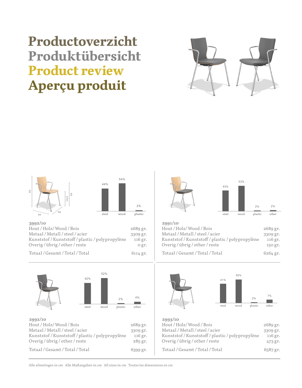# **Productoverzicht Produktübersicht Product review Aperçu produit**





| Hout / Holz/Wood / Bois                    | 2689 gr. |
|--------------------------------------------|----------|
| Metaal/Metall/steel/acier                  | 3309 gr. |
| Kunststof/Kunststoff/plastic/polypropylène | 116 gr.  |
| Overig/übrig/other/reste                   | 0 gr.    |
| Totaal / Gesamt / Total / Total            | 6114 gr. |





| 2991/10                                    |            |
|--------------------------------------------|------------|
| Hout / Holz/Wood / Bois                    | 2689 gr.   |
| Metaal/Metall/steel/acier                  | 3309 gr.   |
| Kunststof/Kunststoff/plastic/polypropylène | 116 gr.    |
| Overig/übrig/other/reste                   | 150 gr.    |
| Totaal / Gesamt / Total / Total            | $6264$ gr. |



| 2689 gr.<br>3309 gr.<br>116 gr.<br>473 gr. |
|--------------------------------------------|
| $6587$ gr.                                 |
|                                            |

Alle afmetingen in cm Alle Maßangaben in cm All sizes in cm Toutes les dimensions en cm